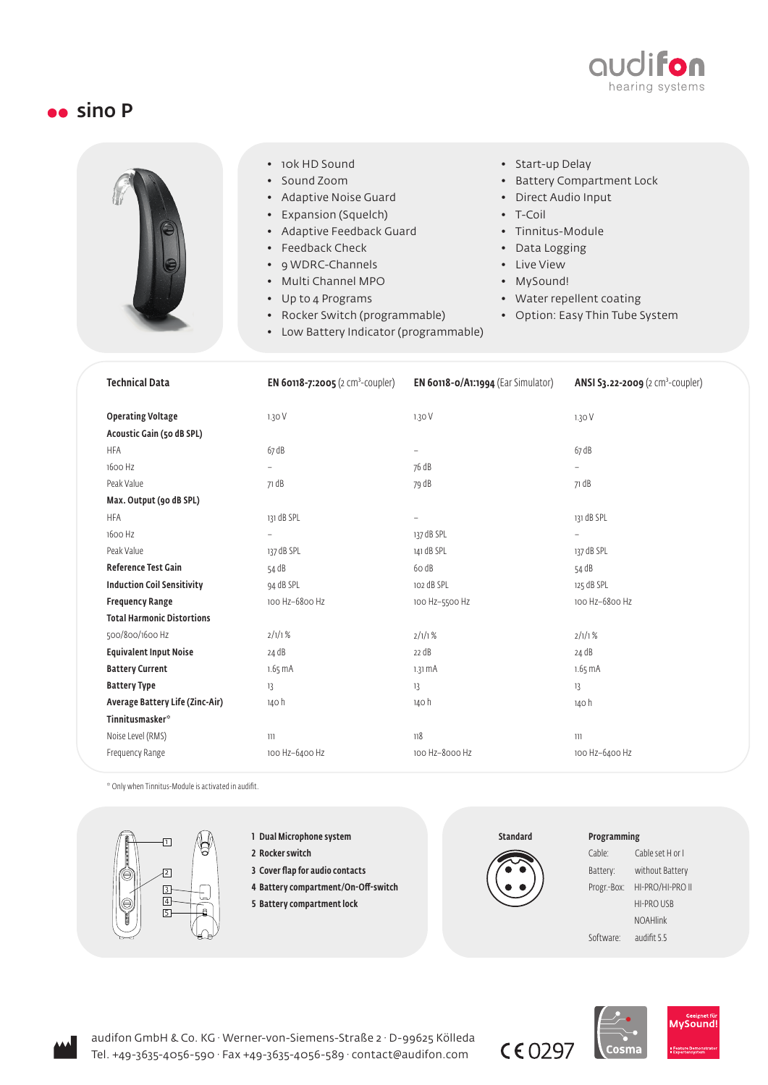

## **sino P**



- 10k HD Sound
- Sound Zoom
- Adaptive Noise Guard
- Expansion (Squelch)
- Adaptive Feedback Guard
- Feedback Check
- 9 WDRC-Channels
- Multi Channel MPO
- Up to 4 Programs
- Rocker Switch (programmable)
- Low Battery Indicator (programmable)
- Start-up Delay
- Battery Compartment Lock
- Direct Audio Input
- T-Coil
- Tinnitus-Module
- Data Logging
- Live View
- MySound!
- Water repellent coating
- Option: Easy Thin Tube System

| <b>Technical Data</b>              | <b>EN 60118-7:2005</b> (2 cm <sup>3</sup> -coupler) | EN 60118-0/A1:1994 (Ear Simulator) | ANSI S3.22-2009 (2 cm <sup>3</sup> -coupler) |
|------------------------------------|-----------------------------------------------------|------------------------------------|----------------------------------------------|
| <b>Operating Voltage</b>           | 1.30V                                               | 1.30V                              | 1.30V                                        |
| Acoustic Gain (50 dB SPL)          |                                                     |                                    |                                              |
| <b>HFA</b>                         | 67 dB                                               | $\qquad \qquad -$                  | 67 dB                                        |
| 1600 Hz                            | $\overline{\phantom{a}}$                            | 76 dB                              | $\overline{\phantom{0}}$                     |
| Peak Value                         | 71 dB                                               | 79 dB                              | 71 dB                                        |
| Max. Output (90 dB SPL)            |                                                     |                                    |                                              |
| <b>HFA</b>                         | 131 dB SPL                                          | $\qquad \qquad -$                  | 131 dB SPL                                   |
| 1600 Hz                            | $\overline{a}$                                      | 137 dB SPL                         | $\overline{\phantom{a}}$                     |
| Peak Value                         | 137 dB SPL                                          | 141 dB SPL                         | 137 dB SPL                                   |
| <b>Reference Test Gain</b>         | 54 dB                                               | 60 dB                              | 54 dB                                        |
| <b>Induction Coil Sensitivity</b>  | 94 dB SPL                                           | 102 dB SPL                         | 125 dB SPL                                   |
| <b>Frequency Range</b>             | 100 Hz-6800 Hz                                      | 100 Hz-5500 Hz                     | 100 Hz-6800 Hz                               |
| <b>Total Harmonic Distortions</b>  |                                                     |                                    |                                              |
| 500/800/1600 Hz                    | 2/1/1%                                              | 2/1/1%                             | 2/1/1%                                       |
| <b>Equivalent Input Noise</b>      | 24 dB                                               | 22 dB                              | 24 dB                                        |
| <b>Battery Current</b>             | $1.65 \text{ mA}$                                   | $1.31 \text{ mA}$                  | $1.65 \text{ mA}$                            |
| <b>Battery Type</b>                | 13                                                  | 13                                 | 13                                           |
| Average Battery Life (Zinc-Air)    | 140 h                                               | 140 h                              | 140 h                                        |
| <b>Tinnitusmasker</b> <sup>®</sup> |                                                     |                                    |                                              |
| Noise Level (RMS)                  | 111                                                 | 118                                | 111                                          |
| Frequency Range                    | 100 Hz-6400 Hz                                      | 100 Hz-8000 Hz                     | 100 Hz-6400 Hz                               |
|                                    |                                                     |                                    |                                              |

\* Only when Tinnitus-Module is activated in audifit.



- 1 Dual Microphone system
- 2 Rocker switch
- 3 Cover flap for audio contacts
- 4 Battery compartment/On-Off-switch
- 5 Battery compartment lock



## Programming

| Cable:      | Cable set H or I  |  |  |
|-------------|-------------------|--|--|
| Battery:    | without Battery   |  |  |
| Progr.-Box: | HI-PRO/HI-PRO II  |  |  |
|             | <b>HI-PRO USB</b> |  |  |
|             | <b>NOAHlink</b>   |  |  |
| Software:   | audifit 5.5       |  |  |
|             |                   |  |  |





 $C E$  0297